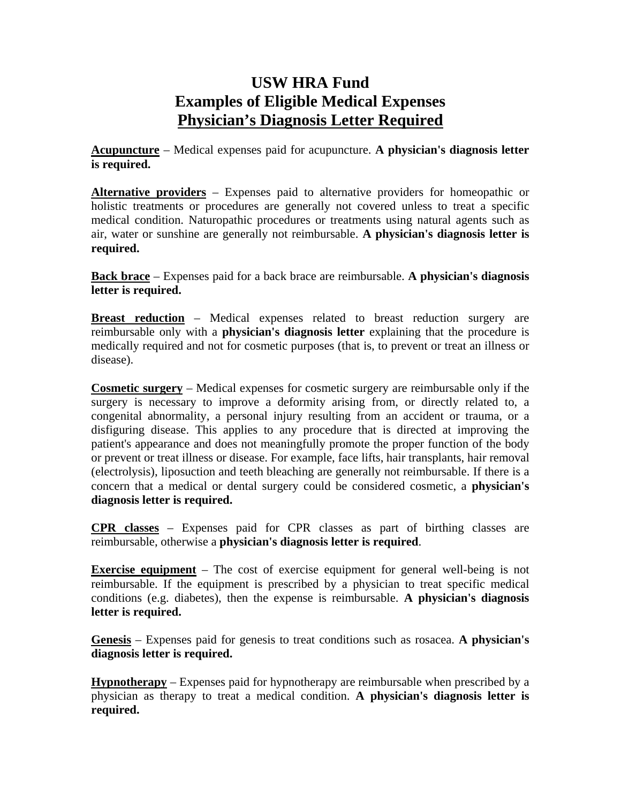## **USW HRA Fund Examples of Eligible Medical Expenses Physician's Diagnosis Letter Required**

**Acupuncture** – Medical expenses paid for acupuncture. **A physician's diagnosis letter is required.** 

**Alternative providers** – Expenses paid to alternative providers for homeopathic or holistic treatments or procedures are generally not covered unless to treat a specific medical condition. Naturopathic procedures or treatments using natural agents such as air, water or sunshine are generally not reimbursable. **A physician's diagnosis letter is required.** 

**Back brace** – Expenses paid for a back brace are reimbursable. **A physician's diagnosis letter is required.** 

**Breast reduction** – Medical expenses related to breast reduction surgery are reimbursable only with a **physician's diagnosis letter** explaining that the procedure is medically required and not for cosmetic purposes (that is, to prevent or treat an illness or disease).

**Cosmetic surgery** – Medical expenses for cosmetic surgery are reimbursable only if the surgery is necessary to improve a deformity arising from, or directly related to, a congenital abnormality, a personal injury resulting from an accident or trauma, or a disfiguring disease. This applies to any procedure that is directed at improving the patient's appearance and does not meaningfully promote the proper function of the body or prevent or treat illness or disease. For example, face lifts, hair transplants, hair removal (electrolysis), liposuction and teeth bleaching are generally not reimbursable. If there is a concern that a medical or dental surgery could be considered cosmetic, a **physician's diagnosis letter is required.**

**CPR classes** – Expenses paid for CPR classes as part of birthing classes are reimbursable, otherwise a **physician's diagnosis letter is required**.

**Exercise equipment** – The cost of exercise equipment for general well-being is not reimbursable. If the equipment is prescribed by a physician to treat specific medical conditions (e.g. diabetes), then the expense is reimbursable. **A physician's diagnosis letter is required.** 

**Genesis** – Expenses paid for genesis to treat conditions such as rosacea. **A physician's diagnosis letter is required.** 

**Hypnotherapy** – Expenses paid for hypnotherapy are reimbursable when prescribed by a physician as therapy to treat a medical condition. **A physician's diagnosis letter is required.**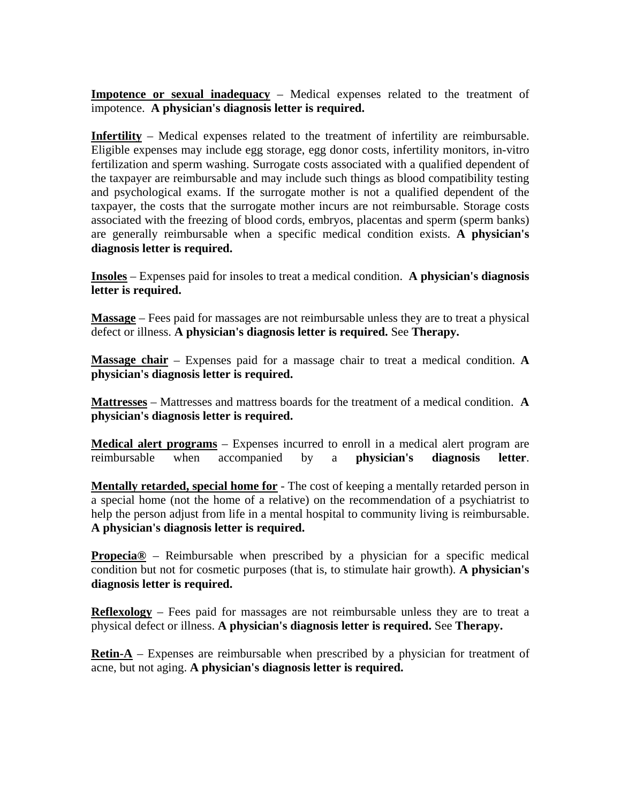**Impotence or sexual inadequacy** – Medical expenses related to the treatment of impotence. **A physician's diagnosis letter is required.** 

**Infertility** – Medical expenses related to the treatment of infertility are reimbursable. Eligible expenses may include egg storage, egg donor costs, infertility monitors, in-vitro fertilization and sperm washing. Surrogate costs associated with a qualified dependent of the taxpayer are reimbursable and may include such things as blood compatibility testing and psychological exams. If the surrogate mother is not a qualified dependent of the taxpayer, the costs that the surrogate mother incurs are not reimbursable. Storage costs associated with the freezing of blood cords, embryos, placentas and sperm (sperm banks) are generally reimbursable when a specific medical condition exists. **A physician's diagnosis letter is required.** 

**Insoles** – Expenses paid for insoles to treat a medical condition. **A physician's diagnosis letter is required.** 

**Massage** – Fees paid for massages are not reimbursable unless they are to treat a physical defect or illness. **A physician's diagnosis letter is required.** See **Therapy.** 

**Massage chair** – Expenses paid for a massage chair to treat a medical condition. **A physician's diagnosis letter is required.** 

**Mattresses** – Mattresses and mattress boards for the treatment of a medical condition. **A physician's diagnosis letter is required.** 

**Medical alert programs** – Expenses incurred to enroll in a medical alert program are reimbursable when accompanied by a **physician's diagnosis letter**.

**Mentally retarded, special home for** - The cost of keeping a mentally retarded person in a special home (not the home of a relative) on the recommendation of a psychiatrist to help the person adjust from life in a mental hospital to community living is reimbursable. **A physician's diagnosis letter is required.** 

**Propecia<sup>®</sup>** – Reimbursable when prescribed by a physician for a specific medical condition but not for cosmetic purposes (that is, to stimulate hair growth). **A physician's diagnosis letter is required.** 

**Reflexology** – Fees paid for massages are not reimbursable unless they are to treat a physical defect or illness. **A physician's diagnosis letter is required.** See **Therapy.** 

**Retin-A** – Expenses are reimbursable when prescribed by a physician for treatment of acne, but not aging. **A physician's diagnosis letter is required.**